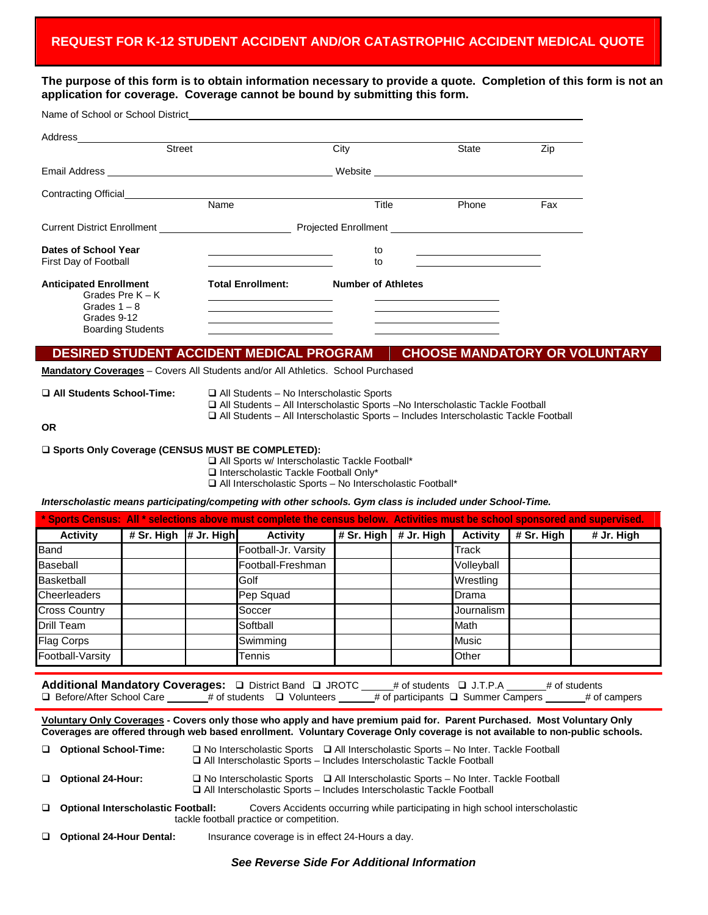**The purpose of this form is to obtain information necessary to provide a quote. Completion of this form is not an application for coverage. Coverage cannot be bound by submitting this form.**

| Name of School or School District Name of School Australian School and The School and The School and The School School and The School and The School and The School and The School and The School and The School and The Schoo |                          |                                                                                                                                                                                                                                      |       |     |
|--------------------------------------------------------------------------------------------------------------------------------------------------------------------------------------------------------------------------------|--------------------------|--------------------------------------------------------------------------------------------------------------------------------------------------------------------------------------------------------------------------------------|-------|-----|
|                                                                                                                                                                                                                                |                          |                                                                                                                                                                                                                                      |       |     |
| Street                                                                                                                                                                                                                         |                          | City                                                                                                                                                                                                                                 | State | Zip |
|                                                                                                                                                                                                                                |                          |                                                                                                                                                                                                                                      |       |     |
|                                                                                                                                                                                                                                |                          |                                                                                                                                                                                                                                      |       |     |
|                                                                                                                                                                                                                                | Name                     | Title                                                                                                                                                                                                                                | Phone | Fax |
|                                                                                                                                                                                                                                |                          | Projected Enrollment <b>contains the contract of the contract of the contract of the contract of the contract of the contract of the contract of the contract of the contract of the contract of the contract of the contract of</b> |       |     |
| Dates of School Year                                                                                                                                                                                                           |                          | to                                                                                                                                                                                                                                   |       |     |
| First Day of Football                                                                                                                                                                                                          |                          | to                                                                                                                                                                                                                                   |       |     |
| <b>Anticipated Enrollment</b><br>Grades Pre $K - K$                                                                                                                                                                            | <b>Total Enrollment:</b> | <b>Number of Athletes</b>                                                                                                                                                                                                            |       |     |
| Grades $1 - 8$                                                                                                                                                                                                                 |                          | the control of the control of the control of the control of the control of                                                                                                                                                           |       |     |
| Grades 9-12<br><b>Boarding Students</b>                                                                                                                                                                                        |                          |                                                                                                                                                                                                                                      |       |     |

## **DESIRED STUDENT ACCIDENT MEDICAL PROGRAM CHOOSE MANDATORY OR VOLUNTARY**

**Mandatory Coverages** – Covers All Students and/or All Athletics. School Purchased

- □ All Students School-Time: □ All Students No Interscholastic Sports
	- All Students All Interscholastic Sports –No Interscholastic Tackle Football
	- All Students All Interscholastic Sports Includes Interscholastic Tackle Football

**OR**

## **Sports Only Coverage (CENSUS MUST BE COMPLETED):**

 All Sports w/ Interscholastic Tackle Football\* □ Interscholastic Tackle Football Only\* All Interscholastic Sports – No Interscholastic Football\*

*Interscholastic means participating/competing with other schools. Gym class is included under School-Time.*

| * Sports Census: All * selections above must complete the census below. Activities must be school sponsored and supervised. |                         |  |                      |  |                               |                 |            |            |
|-----------------------------------------------------------------------------------------------------------------------------|-------------------------|--|----------------------|--|-------------------------------|-----------------|------------|------------|
| <b>Activity</b>                                                                                                             | # Sr. High $#$ Jr. High |  | <b>Activity</b>      |  | # Sr. High $\vert$ # Jr. High | <b>Activity</b> | # Sr. High | # Jr. High |
| <b>Band</b>                                                                                                                 |                         |  | Football-Jr. Varsity |  |                               | Track           |            |            |
| <b>Baseball</b>                                                                                                             | Football-Freshman       |  |                      |  |                               | Volleyball      |            |            |
| <b>Basketball</b>                                                                                                           |                         |  | Wrestling<br>Golf    |  |                               |                 |            |            |
| Cheerleaders                                                                                                                |                         |  | Pep Squad            |  |                               | Drama           |            |            |
| <b>Cross Country</b>                                                                                                        |                         |  | Soccer               |  |                               | Journalism      |            |            |
| <b>Drill Team</b>                                                                                                           |                         |  | Softball             |  |                               | Math            |            |            |
| <b>Flag Corps</b>                                                                                                           |                         |  | Swimming             |  |                               | <b>Music</b>    |            |            |
| Football-Varsity                                                                                                            |                         |  | Tennis               |  |                               | Other           |            |            |

Additional Mandatory Coverages: **Q** District Band **Q** JROTC \_\_\_\_# of students **Q** J.T.P.A \_\_\_\_\_\_# of students  $\Box$  Before/After School Care \_\_\_\_\_# of students  $\Box$  Volunteers \_\_\_\_# of participants  $\Box$  Summer Campers \_\_\_\_\_# of campers

**Voluntary Only Coverages - Covers only those who apply and have premium paid for. Parent Purchased. Most Voluntary Only Coverages are offered through web based enrollment. Voluntary Coverage Only coverage is not available to non-public schools.**

| □ Optional Interscholastic Football: | tackle football practice or competition. | Covers Accidents occurring while participating in high school interscholastic                                                                                                  |
|--------------------------------------|------------------------------------------|--------------------------------------------------------------------------------------------------------------------------------------------------------------------------------|
| Optional 24-Hour:                    |                                          | $\Box$ No Interscholastic Sports $\Box$ All Interscholastic Sports – No Inter. Tackle Football<br>$\Box$ All Interscholastic Sports – Includes Interscholastic Tackle Football |
| □ Optional School-Time:              |                                          | $\Box$ No Interscholastic Sports $\Box$ All Interscholastic Sports – No Inter. Tackle Football<br>$\Box$ All Interscholastic Sports – Includes Interscholastic Tackle Football |

**Optional 24-Hour Dental:** Insurance coverage is in effect 24-Hours a day.

*See Reverse Side For Additional Information*